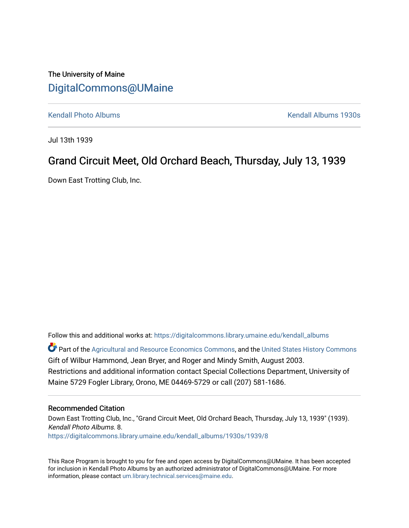## The University of Maine [DigitalCommons@UMaine](https://digitalcommons.library.umaine.edu/)

[Kendall Photo Albums](https://digitalcommons.library.umaine.edu/kendall_albums) [Kendall Albums 1930s](https://digitalcommons.library.umaine.edu/kendall_albums/1930s) 

Jul 13th 1939

# Grand Circuit Meet, Old Orchard Beach, Thursday, July 13, 1939

Down East Trotting Club, Inc.

Follow this and additional works at: [https://digitalcommons.library.umaine.edu/kendall\\_albums](https://digitalcommons.library.umaine.edu/kendall_albums?utm_source=digitalcommons.library.umaine.edu%2Fkendall_albums%2F1930s%2F1939%2F8&utm_medium=PDF&utm_campaign=PDFCoverPages) 

**C** Part of the [Agricultural and Resource Economics Commons,](http://network.bepress.com/hgg/discipline/317?utm_source=digitalcommons.library.umaine.edu%2Fkendall_albums%2F1930s%2F1939%2F8&utm_medium=PDF&utm_campaign=PDFCoverPages) and the [United States History Commons](http://network.bepress.com/hgg/discipline/495?utm_source=digitalcommons.library.umaine.edu%2Fkendall_albums%2F1930s%2F1939%2F8&utm_medium=PDF&utm_campaign=PDFCoverPages) Gift of Wilbur Hammond, Jean Bryer, and Roger and Mindy Smith, August 2003. Restrictions and additional information contact Special Collections Department, University of Maine 5729 Fogler Library, Orono, ME 04469-5729 or call (207) 581-1686.

#### Recommended Citation

Down East Trotting Club, Inc., "Grand Circuit Meet, Old Orchard Beach, Thursday, July 13, 1939" (1939). Kendall Photo Albums. 8. [https://digitalcommons.library.umaine.edu/kendall\\_albums/1930s/1939/8](https://digitalcommons.library.umaine.edu/kendall_albums/1930s/1939/8?utm_source=digitalcommons.library.umaine.edu%2Fkendall_albums%2F1930s%2F1939%2F8&utm_medium=PDF&utm_campaign=PDFCoverPages) 

This Race Program is brought to you for free and open access by DigitalCommons@UMaine. It has been accepted for inclusion in Kendall Photo Albums by an authorized administrator of DigitalCommons@UMaine. For more information, please contact [um.library.technical.services@maine.edu](mailto:um.library.technical.services@maine.edu).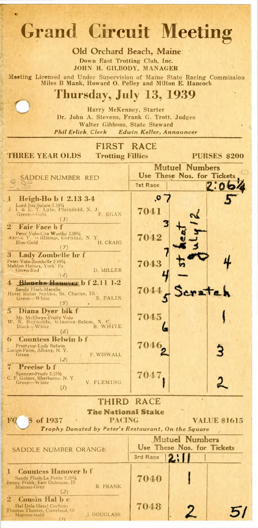# **Grand Circuit Meeting**

Old Orchard Beach, Maine **Down East Trotting Club, Inc.** JOHN H. GILBODY, MANAGER

**Meeting** L icen sed and U n d er S u p e rv isio n o f M a in e S ta te R a c in g C om m ission **Miles B Mank, Howard O. Pelley and Milton E. Hancock**

**Thursday, July 13, 1939**

**Harry McKenney, Starter Dr. John A. Stevens, Frank G. Trott, Judges Walter Gibbons, State Steward** *Phil Erlick*, *Clerk Edwin Keller*, *Announcer*

| <b>Phil Erlick</b> , Clerk                                                                         | Ldwin Keller, Announcer |                            |                     |
|----------------------------------------------------------------------------------------------------|-------------------------|----------------------------|---------------------|
| <b>FIRST</b>                                                                                       | <b>RACE</b>             |                            |                     |
| THREE YEAR OLDS<br><b>Trotting Fillies</b>                                                         |                         |                            | <b>PURSES \$200</b> |
|                                                                                                    |                         | <b>Mutuel Numbers</b>      |                     |
|                                                                                                    |                         | Use These Nos. for Tickets |                     |
| SADDLE NUMBER RED                                                                                  | 1st Race                |                            |                     |
|                                                                                                    |                         |                            |                     |
| Heigh-Ho b f 2.13 3-4                                                                              | ο.                      |                            |                     |
| Lord Jim-Salute 2.1914<br>J. I. & E. T. Lyle, Plainfield, N. J.<br>Green-Gold H<br>F. EGAN         | 7041                    |                            |                     |
| (3)                                                                                                |                         |                            |                     |
| $\bf{2}$<br>Fair Face <b>h</b> f                                                                   |                         |                            |                     |
| Peter Volo-Cita Worthy 2.0914<br>Aaron F. Williams, Corning, N.Y.<br>Blue-Gold<br>H. CRAIG         | 7042                    |                            |                     |
| $\mathcal{L}$                                                                                      |                         |                            |                     |
| 3.<br>Lady Zombelle br f<br>Peter Volo-Zombelle 2.09%                                              |                         |                            |                     |
| Mahlon Haines, York' Pa.<br>D. MILLER<br>Green-Red                                                 | 7043                    |                            |                     |
| (4)                                                                                                |                         |                            |                     |
| Bianche Hanner $b$ $f$ $2.11$ $1-2$<br>4.<br>Sandy Flash-Maralie                                   |                         |                            |                     |
| Hotel Baker Stables, St. Charles, Ill.<br>S. PALIN<br>Green-White                                  | 7044                    |                            | 2.72                |
| (5)                                                                                                |                         |                            |                     |
| Diana Dver blk f<br>5.                                                                             | 7045                    |                            |                     |
| Mr. McElwyn-Fruity Volo<br>W. N. Reynolds, Winston-Salem, N. C.<br>B. WHITE<br>Black $\neg$ -White |                         |                            |                     |
| (6)                                                                                                |                         |                            |                     |
| <b>Countess Belwin b f</b><br>O.<br>Protector-Lady Belwin                                          | 7046                    |                            |                     |
| Locust Farm, Albany, N.Y.<br>Green<br>F. WISWALL                                                   |                         |                            |                     |
| (2)                                                                                                |                         |                            |                     |
| Precise <b>b</b> f<br>Spencer-Prudy 2.131/2                                                        | 7047                    |                            |                     |
| C. F. Gaines, Sherburne. N. Y.<br>Green-White<br>V. FLEMING                                        |                         |                            |                     |
| (I)                                                                                                |                         |                            |                     |
|                                                                                                    | THIRD RACE              |                            |                     |
| The National Stake                                                                                 |                         |                            |                     |
| PACING<br>of 1937<br>ЮC<br>s                                                                       |                         |                            | <b>VALUE \$1615</b> |
| Trophy Donated by Peter's Restaurant, On the Square                                                |                         |                            |                     |
|                                                                                                    |                         | <b>Mutuel Numbers</b>      |                     |
| SADDLE NUMBER ORANGE                                                                               |                         | Use These Nos. for Tickets |                     |
|                                                                                                    | 3rd Race                | .                          |                     |
| <b>Countess Hanover b f</b><br>н                                                                   |                         |                            |                     |
| Sandy Flash-La Petite 2.201/4<br>Benny Frahk, East Dubuque, Ill.                                   | 7040                    |                            |                     |
| <b>B. FRANK</b><br>Maroon-Grey<br>(2)                                                              |                         |                            |                     |
| <b>Cousin Hal b c</b><br>$\bf{2}$                                                                  |                         |                            |                     |
| Hal Dale-Hazel Cochato<br>Thomas Thomas, Cieveland, O.                                             | 7048                    | 2                          |                     |
| <b>I. DOUGLASS</b><br>Maroon-Gold<br>(1)                                                           |                         |                            |                     |
|                                                                                                    |                         |                            |                     |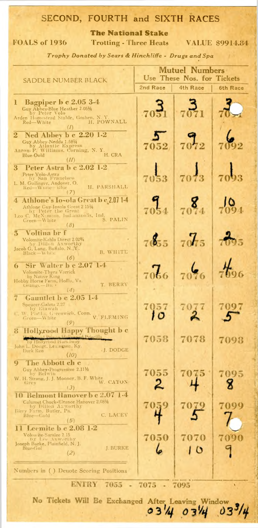### SECOND, FOURTH and SIXTH RACES

**The National Stake**

**FOALS of 1936 Trotting - Three Heats VALUE \$9914.84** 

*Trophy Donated by Sears & Hinchliffe* - *Drugs and Spa*

|                                                                                                                                                                  | <b>Mutuel Numbers</b><br>Use These Nos. for Tickets |                  |          |  |  |
|------------------------------------------------------------------------------------------------------------------------------------------------------------------|-----------------------------------------------------|------------------|----------|--|--|
| saddle number black                                                                                                                                              | 2nd Race                                            | 4th Race         | 6th Race |  |  |
| Bagpiper b c 2.05 3-4<br>L<br>Guy Abbey-Blue Heather 2.051/4<br>by Peter Volo<br>Arden Homestead Stable, Goshen, N.Y.<br>H. POWNALL<br>Red-White                 |                                                     |                  |          |  |  |
| Ned Abbey b c 2.20 1-2<br>$\bf{2}$<br>Guy Abbey-Nedda 1.5814<br>by Atlantic Express<br>Aaron F. Williams, Corning, N. Y.<br>H. CRA<br>Blue-Oold<br>(II)          |                                                     |                  |          |  |  |
| Peter Astra b c 2.02 1-2<br>3<br>Peter Yolo-Astra<br> - by San Francisco<br>L. M. Guilinger, Andover, O.<br>H. PARSHALL<br>Red-White silue<br>(7)                |                                                     |                  |          |  |  |
| 4 - Athlone's Io~ola Great b c 2.07 1-4<br>Athlone Guy-Iosola Great 2 1514<br>by Peter the Great<br>S. PALIN<br>Green-White<br>(8)                               |                                                     |                  |          |  |  |
| Voltina br f<br>$\mathbf{3}$<br>Volomite-Kahla Direct 2.02%<br>by Dillon Axworthy<br>Jacob G, Lang, Buffalo, N.Y.<br>B. WHITE<br>$Black - W$ hite<br>(6)         |                                                     |                  |          |  |  |
| Sir Walter b c 2.07<br>$-1 - 4$<br>$\bullet$<br>Volomite-Thyra Varrick<br>by Native King<br>Hobby Horse Farm, Hollis, Va.<br>T. BERRY<br>Orange-Bu ·<br>(4)      |                                                     |                  |          |  |  |
| Gauntlet b c 2.05 1-4<br>Speucer-Galeta 2.27<br>by Etawah<br>W. Phells, Greenwich, Conn.<br>V. FLEMING<br>Green-White                                            |                                                     |                  |          |  |  |
| Hollyrood Happy Thought b c<br>8.<br>by Hollyrood Harkaway<br>John L. Dodge, Lexington, Ky.<br>L. DODGE<br>Dark Rea<br>(10)<br>9<br>The Abbott ch c              |                                                     |                  |          |  |  |
| Guy Abbey-Progressive 2.111/2<br>by Belwin<br>W. H. Strang, J. J. Mooney, B. F. White<br>W. CATON<br>Grey<br>(3)<br><b>10 Belmont Hanover b c 2.07 1.4</b>       | 7055                                                | 7075             |          |  |  |
| Calumet Chuck-Eleanor Hanover 2.0814<br>by Dillon Axworthy<br>Biery Farm, Butler, Pa.<br>C. LACEY<br>Blue-Gold<br>$\left( 5\right)$<br>Leemite b c 2.08 1-2<br>н | 7059                                                | 7079             | 7099     |  |  |
| Volon ite-Saralee 2.15<br>by Lee Axworthy<br>Joseph Burke, Plainfield, N. J.<br>J. BURKE<br>$Blue$ Gol<br>(2)                                                    | 7050                                                | 7070<br>$\bf{O}$ | 7090     |  |  |
| Numbers in () Denote Scoring Positions                                                                                                                           |                                                     |                  |          |  |  |
| <b>ENTRY</b><br>7075<br>7055<br>7095<br>٠                                                                                                                        |                                                     |                  |          |  |  |

No Tickets Will Be Exchanged After Leaving Window 3/4 03/4 03/4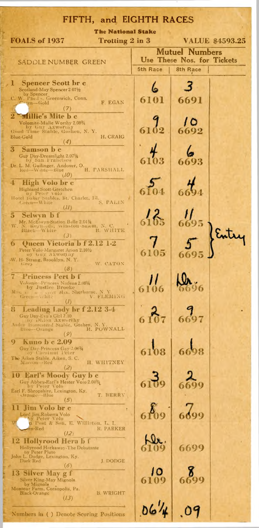| FIFTH, and EIGHTH RACES                                                                                                                                                                              |          |          |  |  |
|------------------------------------------------------------------------------------------------------------------------------------------------------------------------------------------------------|----------|----------|--|--|
| <b>The National Stake</b><br><b>FOALS of 1937</b><br>Trotting 2 in 3<br><b>VALUE \$4593.25</b>                                                                                                       |          |          |  |  |
| <b>Mutuel Numbers</b><br>Use These Nos. for Tickets                                                                                                                                                  |          |          |  |  |
| saddle number  Green                                                                                                                                                                                 | 5th Race | 8th Race |  |  |
| <b>Spencer Scott br c</b><br>ы<br>Scotland-May Spencer 2 071/2                                                                                                                                       |          |          |  |  |
| by Spencer<br>C. W. Pheds. Greenwich, Conn.<br>F. EGAN<br>$\sim$ and $\sim$ Gold<br>(7)                                                                                                              |          | 6691     |  |  |
| $\overline{\mathbf{2}}$<br><b>Millie's Mite b c</b><br>Volomite-Miilie Worthy 2.08%                                                                                                                  |          |          |  |  |
| by Guy Axworthy<br>Good Time Stable, Goshen, N. Y.<br>H. CRAIG<br>Blue-Gold<br>(4)                                                                                                                   |          |          |  |  |
| 3<br>Samson b c<br>Guy Day-Dreamlight 2.071/4                                                                                                                                                        |          |          |  |  |
| by San Francisco<br>Dr. L. M. Guilinger, Andover, O. Red-Watte-Blue<br>H. PARSHALL<br>(IO)                                                                                                           |          |          |  |  |
| High Volo br c<br><b>Highland Scott-Gretchen</b><br>Dy Peter volo                                                                                                                                    |          |          |  |  |
| Hotel Daker Stables, St. Charles, IiI.<br>Green-White<br>S. PALIN<br>(11)                                                                                                                            |          |          |  |  |
| 5<br>Selwyn b f<br>Mr. McEtwyn-Station Belle 2.04 1/4<br>W. N. Reynords, winston-sarem, N. C.                                                                                                        |          |          |  |  |
| Black White<br>B. WHITE<br>(3)<br>Queen Victoria b f 2.12 1-2<br>h                                                                                                                                   |          |          |  |  |
| Peter Volo-Margaret Arion 2.101/2<br>oy Guy Axweniny<br>W. H. Strang, Brooklyn, N.Y.                                                                                                                 | 6105     |          |  |  |
| W. CATON<br>Grey<br>$\delta$<br><b>Princess Pert b f</b>                                                                                                                                             |          |          |  |  |
| Volomite-Princess Nadena 2.0814<br>by Justice Brooke<br>$M$ <sub>15</sub> , $\leftarrow$<br>$G_{\text{recon}} = \frac{W}{W}$ and $W$ , Sherburne, N. Y.<br>$G_{\text{recon}} = W$ hite<br>V. FLEMING | 6106     |          |  |  |
| 8.<br>Leading Lady br f 2.12 3-4                                                                                                                                                                     |          |          |  |  |
| Guy Day-Eva's Girl 2.10<br>by Didon Axworthy<br>Arden Homestead Stable, Goshen, N. Y<br>H. POWNALL<br>$B$ lite $-$ -Orange                                                                           |          |          |  |  |
| (9<br><b>Kuno b c 2.09</b><br>9.                                                                                                                                                                     |          |          |  |  |
| Guy Day-Princess Gay 2.0834<br>The Aiken Stable. Aiken, S. C.<br>H. WHITNEY<br>Maroon -Red                                                                                                           | 6108     |          |  |  |
| (2)<br>10 Earl's Moody Guy b c<br>Guy Abbey-Earl's Hester Voio 2.04%                                                                                                                                 |          |          |  |  |
| by Peter Volo<br>Earl F. Shropshire, Lexington, Ky.<br>T. BERRY<br>$Orangc - Blue$<br>(5)                                                                                                            |          |          |  |  |
| 11 Jim Volo br c                                                                                                                                                                                     |          |          |  |  |
| Lord Jim.Roberta Volo<br>by Peter Volo<br>p Post & Son, E. Williston, L. I.<br><b>R. PARKER</b><br>en-Red<br>(12)                                                                                    |          |          |  |  |
| <b>Hollyrood Hera b f</b><br>12<br>Hollyrood Harkaway-The Debutante<br>by Peter Pluto                                                                                                                |          | 6699     |  |  |
| John L. Dodge, Lexington, Ky.<br>Dark Red<br>J. DODGE<br>(6)                                                                                                                                         |          |          |  |  |
| 13 Silver May g f<br>Silver King-May Mignola<br>by Mignola                                                                                                                                           |          |          |  |  |
| Montour Farm, Coraopolis, Pa.<br>Black-Orange<br>B. WRIGHT<br>(13)                                                                                                                                   |          |          |  |  |
| Numbers in () Denote Scoring Positions                                                                                                                                                               |          |          |  |  |